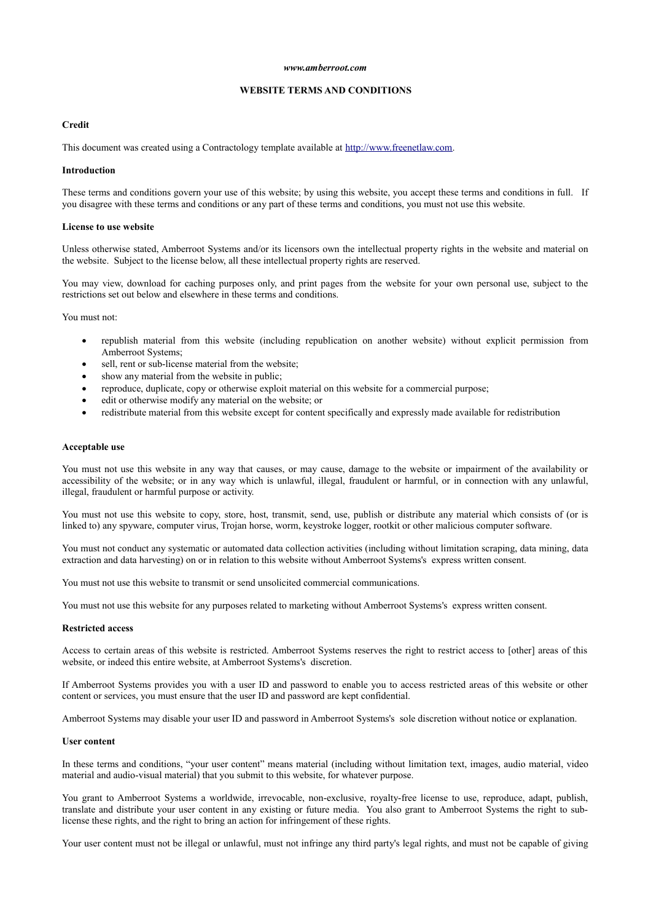#### *www.amberroot.com*

# **WEBSITE TERMS AND CONDITIONS**

# **Credit**

This document was created using a Contractology template available at [http://www.freenetlaw.com.](http://www.freenetlaw.com/)

#### **Introduction**

These terms and conditions govern your use of this website; by using this website, you accept these terms and conditions in full. If you disagree with these terms and conditions or any part of these terms and conditions, you must not use this website.

#### **License to use website**

Unless otherwise stated, Amberroot Systems and/or its licensors own the intellectual property rights in the website and material on the website. Subject to the license below, all these intellectual property rights are reserved.

You may view, download for caching purposes only, and print pages from the website for your own personal use, subject to the restrictions set out below and elsewhere in these terms and conditions.

You must not:

- republish material from this website (including republication on another website) without explicit permission from Amberroot Systems;
- sell, rent or sub-license material from the website;
- show any material from the website in public;
- reproduce, duplicate, copy or otherwise exploit material on this website for a commercial purpose;
- edit or otherwise modify any material on the website; or
- redistribute material from this website except for content specifically and expressly made available for redistribution

#### **Acceptable use**

You must not use this website in any way that causes, or may cause, damage to the website or impairment of the availability or accessibility of the website; or in any way which is unlawful, illegal, fraudulent or harmful, or in connection with any unlawful, illegal, fraudulent or harmful purpose or activity.

You must not use this website to copy, store, host, transmit, send, use, publish or distribute any material which consists of (or is linked to) any spyware, computer virus, Trojan horse, worm, keystroke logger, rootkit or other malicious computer software.

You must not conduct any systematic or automated data collection activities (including without limitation scraping, data mining, data extraction and data harvesting) on or in relation to this website without Amberroot Systems's express written consent.

You must not use this website to transmit or send unsolicited commercial communications.

You must not use this website for any purposes related to marketing without Amberroot Systems's express written consent.

## **Restricted access**

Access to certain areas of this website is restricted. Amberroot Systems reserves the right to restrict access to [other] areas of this website, or indeed this entire website, at Amberroot Systems's discretion.

If Amberroot Systems provides you with a user ID and password to enable you to access restricted areas of this website or other content or services, you must ensure that the user ID and password are kept confidential.

Amberroot Systems may disable your user ID and password in Amberroot Systems's sole discretion without notice or explanation.

#### **User content**

In these terms and conditions, "your user content" means material (including without limitation text, images, audio material, video material and audio-visual material) that you submit to this website, for whatever purpose.

You grant to Amberroot Systems a worldwide, irrevocable, non-exclusive, royalty-free license to use, reproduce, adapt, publish, translate and distribute your user content in any existing or future media. You also grant to Amberroot Systems the right to sublicense these rights, and the right to bring an action for infringement of these rights.

Your user content must not be illegal or unlawful, must not infringe any third party's legal rights, and must not be capable of giving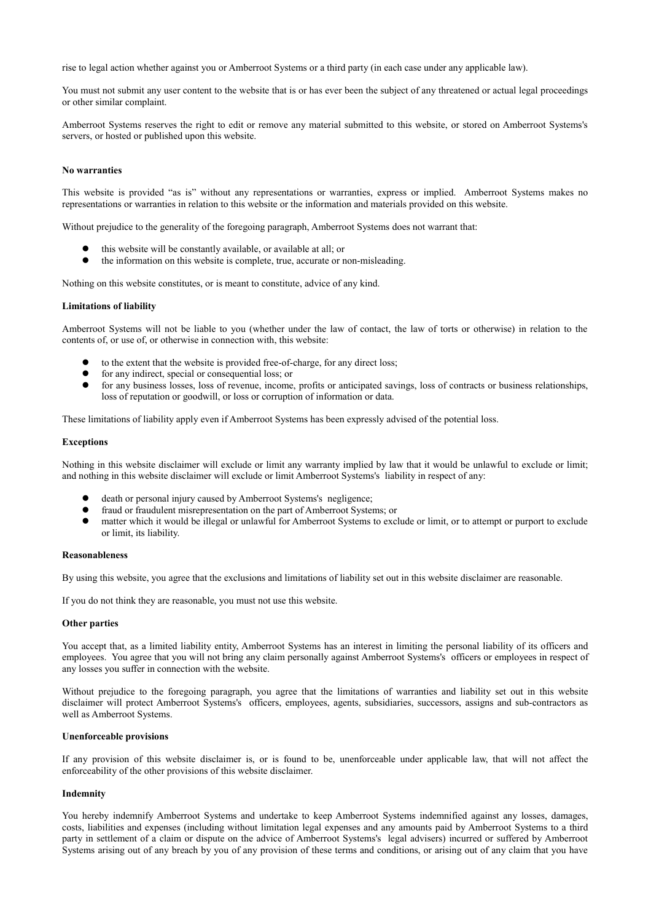rise to legal action whether against you or Amberroot Systems or a third party (in each case under any applicable law).

You must not submit any user content to the website that is or has ever been the subject of any threatened or actual legal proceedings or other similar complaint.

Amberroot Systems reserves the right to edit or remove any material submitted to this website, or stored on Amberroot Systems's servers, or hosted or published upon this website.

### **No warranties**

This website is provided "as is" without any representations or warranties, express or implied. Amberroot Systems makes no representations or warranties in relation to this website or the information and materials provided on this website.

Without prejudice to the generality of the foregoing paragraph, Amberroot Systems does not warrant that:

- $\bullet$  this website will be constantly available, or available at all; or  $\bullet$  the information on this website is complete true accurate or n
- the information on this website is complete, true, accurate or non-misleading.

Nothing on this website constitutes, or is meant to constitute, advice of any kind.

## **Limitations of liability**

Amberroot Systems will not be liable to you (whether under the law of contact, the law of torts or otherwise) in relation to the contents of, or use of, or otherwise in connection with, this website:

- to the extent that the website is provided free-of-charge, for any direct loss;
- $\bullet$  for any indirect, special or consequential loss; or
- for any business losses, loss of revenue, income, profits or anticipated savings, loss of contracts or business relationships, loss of reputation or goodwill, or loss or corruption of information or data.

These limitations of liability apply even if Amberroot Systems has been expressly advised of the potential loss.

#### **Exceptions**

Nothing in this website disclaimer will exclude or limit any warranty implied by law that it would be unlawful to exclude or limit; and nothing in this website disclaimer will exclude or limit Amberroot Systems's liability in respect of any:

- death or personal injury caused by Amberroot Systems's negligence;
- fraud or fraudulent misrepresentation on the part of Amberroot Systems; or
- matter which it would be illegal or unlawful for Amberroot Systems to exclude or limit, or to attempt or purport to exclude or limit, its liability.

#### **Reasonableness**

By using this website, you agree that the exclusions and limitations of liability set out in this website disclaimer are reasonable.

If you do not think they are reasonable, you must not use this website.

### **Other parties**

You accept that, as a limited liability entity, Amberroot Systems has an interest in limiting the personal liability of its officers and employees. You agree that you will not bring any claim personally against Amberroot Systems's officers or employees in respect of any losses you suffer in connection with the website.

Without prejudice to the foregoing paragraph, you agree that the limitations of warranties and liability set out in this website disclaimer will protect Amberroot Systems's officers, employees, agents, subsidiaries, successors, assigns and sub-contractors as well as Amberroot Systems.

## **Unenforceable provisions**

If any provision of this website disclaimer is, or is found to be, unenforceable under applicable law, that will not affect the enforceability of the other provisions of this website disclaimer.

## **Indemnity**

You hereby indemnify Amberroot Systems and undertake to keep Amberroot Systems indemnified against any losses, damages, costs, liabilities and expenses (including without limitation legal expenses and any amounts paid by Amberroot Systems to a third party in settlement of a claim or dispute on the advice of Amberroot Systems's legal advisers) incurred or suffered by Amberroot Systems arising out of any breach by you of any provision of these terms and conditions, or arising out of any claim that you have